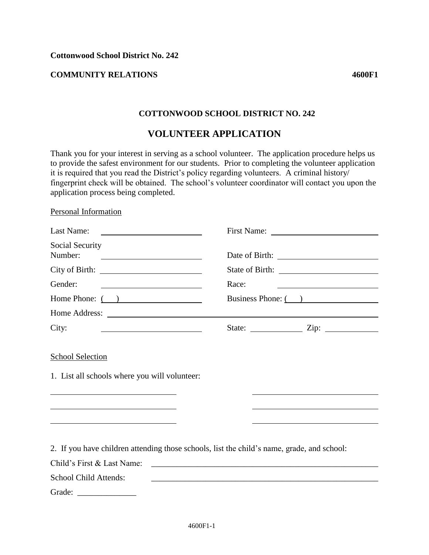## **COMMUNITY RELATIONS 4600F1**

## **COTTONWOOD SCHOOL DISTRICT NO. 242**

# **VOLUNTEER APPLICATION**

Thank you for your interest in serving as a school volunteer. The application procedure helps us to provide the safest environment for our students. Prior to completing the volunteer application it is required that you read the District's policy regarding volunteers. A criminal history/ fingerprint check will be obtained. The school's volunteer coordinator will contact you upon the application process being completed.

#### Personal Information

| Last Name:                                                                                                                                       |                                                                                            |
|--------------------------------------------------------------------------------------------------------------------------------------------------|--------------------------------------------------------------------------------------------|
| Social Security<br>Number:<br><u> The Communication of the Communication of the Communication of the Communication of the Communication of</u>   |                                                                                            |
|                                                                                                                                                  |                                                                                            |
| Gender:<br><u> 1989 - Johann Stoff, deutscher Stoffen und der Stoffen und der Stoffen und der Stoffen und der Stoffen und der</u>                | Race:                                                                                      |
| Home Phone: ( )                                                                                                                                  | Business Phone: ()                                                                         |
|                                                                                                                                                  |                                                                                            |
| City:<br><u> 1989 - Johann Barbara, martin amerikan basar dan basa dan basa dan basa dalam basa dalam basa dalam basa dan</u>                    |                                                                                            |
| 1. List all schools where you will volunteer:<br>the contract of the contract of the contract of the contract of the contract of the contract of |                                                                                            |
| <u> 1989 - Johann Stein, mars an de Brasilian (b. 1989)</u>                                                                                      | 2. If you have children attending those schools, list the child's name, grade, and school: |
| Child's First & Last Name:                                                                                                                       | <u> 1980 - Jan James James Barbara, president eta politikaria (h. 1980).</u>               |
| <b>School Child Attends:</b>                                                                                                                     |                                                                                            |
|                                                                                                                                                  |                                                                                            |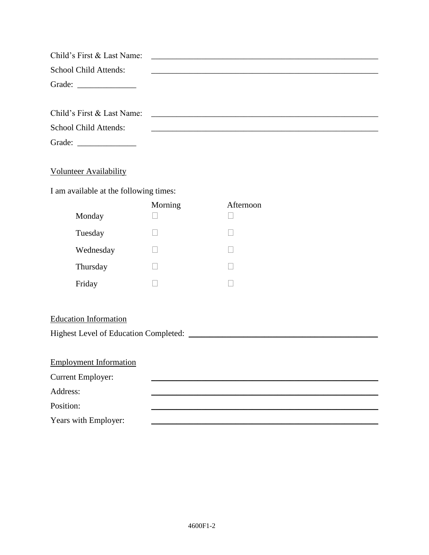| Child's First & Last Name:                              |         |               |  |  |  |
|---------------------------------------------------------|---------|---------------|--|--|--|
| School Child Attends:                                   |         |               |  |  |  |
| Grade: $\frac{1}{\sqrt{1-\frac{1}{2}}\cdot\frac{1}{2}}$ |         |               |  |  |  |
|                                                         |         |               |  |  |  |
| Child's First & Last Name:                              |         |               |  |  |  |
| School Child Attends:                                   |         |               |  |  |  |
|                                                         |         |               |  |  |  |
|                                                         |         |               |  |  |  |
| <b>Volunteer Availability</b>                           |         |               |  |  |  |
| I am available at the following times:                  |         |               |  |  |  |
|                                                         | Morning | Afternoon     |  |  |  |
| Monday                                                  |         | $\mathcal{L}$ |  |  |  |
| Tuesday                                                 |         |               |  |  |  |
| Wednesday                                               |         | $\mathcal{L}$ |  |  |  |
| Thursday                                                |         |               |  |  |  |
| Friday                                                  |         |               |  |  |  |
|                                                         |         |               |  |  |  |
| <b>Education Information</b>                            |         |               |  |  |  |
|                                                         |         |               |  |  |  |
|                                                         |         |               |  |  |  |
| <b>Employment Information</b>                           |         |               |  |  |  |
| <b>Current Employer:</b>                                |         |               |  |  |  |
| Address:                                                |         |               |  |  |  |
| Position:                                               |         |               |  |  |  |
| Years with Employer:                                    |         |               |  |  |  |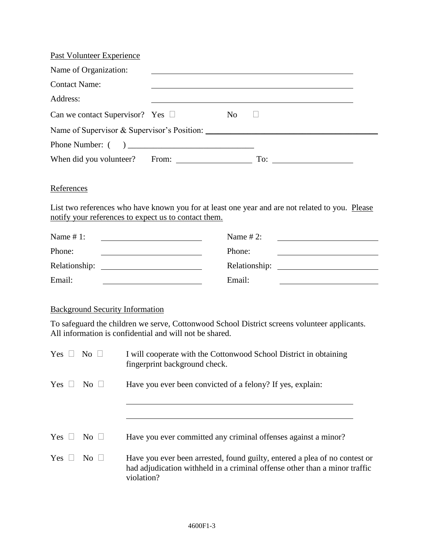| Past Volunteer Experience                                                                                                            |                |                                                                                                 |
|--------------------------------------------------------------------------------------------------------------------------------------|----------------|-------------------------------------------------------------------------------------------------|
| Name of Organization:                                                                                                                |                | <u> 1989 - John Stein, amerikansk politiker (d. 1989)</u>                                       |
| <b>Contact Name:</b>                                                                                                                 |                |                                                                                                 |
| Address:                                                                                                                             |                |                                                                                                 |
| Can we contact Supervisor? Yes $\Box$                                                                                                | N <sub>o</sub> |                                                                                                 |
|                                                                                                                                      |                |                                                                                                 |
|                                                                                                                                      |                |                                                                                                 |
|                                                                                                                                      |                |                                                                                                 |
| References<br>notify your references to expect us to contact them.                                                                   |                | List two references who have known you for at least one year and are not related to you. Please |
| Name $# 1$ :<br><u> Liste de la construcción de la construcción de la construcción de la construcción de la construcción de la c</u> | Name $# 2$ :   |                                                                                                 |
| Phone:                                                                                                                               | Phone:         |                                                                                                 |
|                                                                                                                                      |                |                                                                                                 |
| Email:                                                                                                                               | Email:         |                                                                                                 |
|                                                                                                                                      |                |                                                                                                 |

# Background Security Information

To safeguard the children we serve, Cottonwood School District screens volunteer applicants. All information is confidential and will not be shared.

| Yes $\Box$ | $\overline{\text{No}}$ $\Box$ | I will cooperate with the Cottonwood School District in obtaining<br>fingerprint background check.                                                                     |
|------------|-------------------------------|------------------------------------------------------------------------------------------------------------------------------------------------------------------------|
| $Yes \Box$ | $\overline{N_{O}}$            | Have you ever been convicted of a felony? If yes, explain:                                                                                                             |
|            |                               |                                                                                                                                                                        |
| $Yes \Box$ | $\overline{N_{0}}$ $\Box$     | Have you ever committed any criminal offenses against a minor?                                                                                                         |
| $Yes \Box$ | $\overline{N_{0}}$ $\Box$     | Have you ever been arrested, found guilty, entered a plea of no contest or<br>had adjudication withheld in a criminal offense other than a minor traffic<br>violation? |